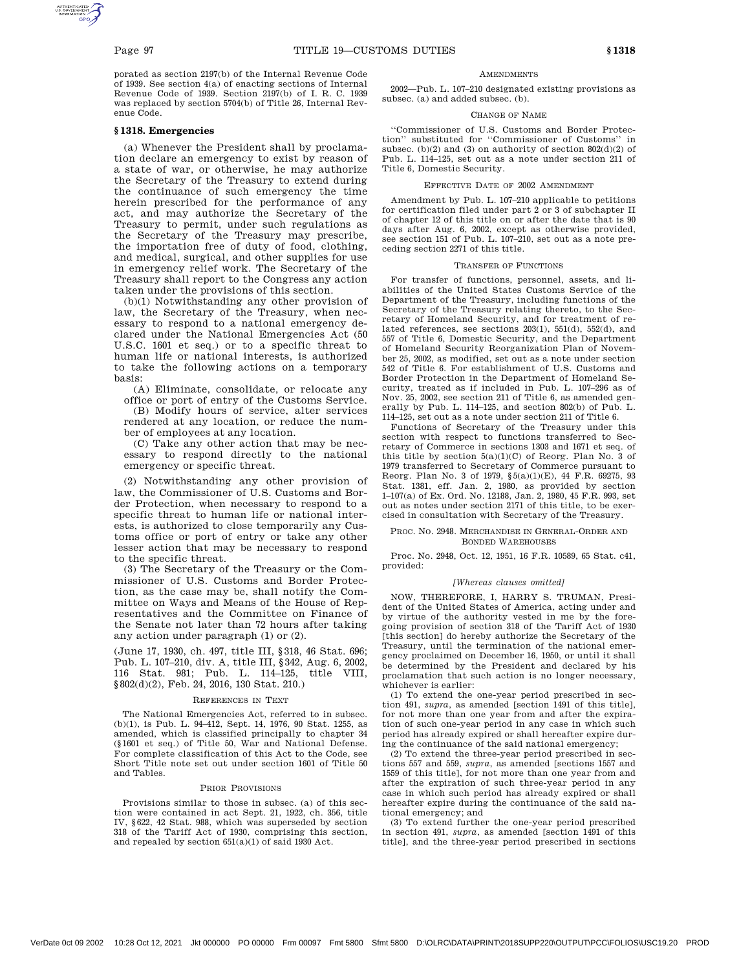porated as section 2197(b) of the Internal Revenue Code of 1939. See section 4(a) of enacting sections of Internal Revenue Code of 1939. Section 2197(b) of I. R. C. 1939 was replaced by section 5704(b) of Title 26, Internal Revenue Code.

## **§ 1318. Emergencies**

(a) Whenever the President shall by proclamation declare an emergency to exist by reason of a state of war, or otherwise, he may authorize the Secretary of the Treasury to extend during the continuance of such emergency the time herein prescribed for the performance of any act, and may authorize the Secretary of the Treasury to permit, under such regulations as the Secretary of the Treasury may prescribe, the importation free of duty of food, clothing, and medical, surgical, and other supplies for use in emergency relief work. The Secretary of the Treasury shall report to the Congress any action taken under the provisions of this section.

(b)(1) Notwithstanding any other provision of law, the Secretary of the Treasury, when necessary to respond to a national emergency declared under the National Emergencies Act (50 U.S.C. 1601 et seq.) or to a specific threat to human life or national interests, is authorized to take the following actions on a temporary basis:

(A) Eliminate, consolidate, or relocate any office or port of entry of the Customs Service.

(B) Modify hours of service, alter services rendered at any location, or reduce the number of employees at any location.

(C) Take any other action that may be necessary to respond directly to the national emergency or specific threat.

(2) Notwithstanding any other provision of law, the Commissioner of U.S. Customs and Border Protection, when necessary to respond to a specific threat to human life or national interests, is authorized to close temporarily any Customs office or port of entry or take any other lesser action that may be necessary to respond to the specific threat.

(3) The Secretary of the Treasury or the Commissioner of U.S. Customs and Border Protection, as the case may be, shall notify the Committee on Ways and Means of the House of Representatives and the Committee on Finance of the Senate not later than 72 hours after taking any action under paragraph (1) or (2).

(June 17, 1930, ch. 497, title III, §318, 46 Stat. 696; Pub. L. 107–210, div. A, title III, §342, Aug. 6, 2002, 116 Stat. 981; Pub. L. 114–125, title VIII, §802(d)(2), Feb. 24, 2016, 130 Stat. 210.)

## REFERENCES IN TEXT

The National Emergencies Act, referred to in subsec. (b)(1), is Pub. L. 94–412, Sept. 14, 1976, 90 Stat. 1255, as amended, which is classified principally to chapter 34 (§1601 et seq.) of Title 50, War and National Defense. For complete classification of this Act to the Code, see Short Title note set out under section 1601 of Title 50 and Tables.

## PRIOR PROVISIONS

Provisions similar to those in subsec. (a) of this section were contained in act Sept. 21, 1922, ch. 356, title IV, §622, 42 Stat. 988, which was superseded by section 318 of the Tariff Act of 1930, comprising this section, and repealed by section 651(a)(1) of said 1930 Act.

## **AMENDMENTS**

2002—Pub. L. 107–210 designated existing provisions as subsec. (a) and added subsec. (b).

## CHANGE OF NAME

''Commissioner of U.S. Customs and Border Protection'' substituted for ''Commissioner of Customs'' in subsec. (b)(2) and (3) on authority of section  $802(d)(2)$  of Pub. L. 114–125, set out as a note under section 211 of Title 6, Domestic Security.

### EFFECTIVE DATE OF 2002 AMENDMENT

Amendment by Pub. L. 107–210 applicable to petitions for certification filed under part 2 or 3 of subchapter II of chapter 12 of this title on or after the date that is 90 days after Aug. 6, 2002, except as otherwise provided, see section 151 of Pub. L. 107–210, set out as a note preceding section 2271 of this title.

#### TRANSFER OF FUNCTIONS

For transfer of functions, personnel, assets, and liabilities of the United States Customs Service of the Department of the Treasury, including functions of the Secretary of the Treasury relating thereto, to the Secretary of Homeland Security, and for treatment of related references, see sections 203(1), 551(d), 552(d), and 557 of Title 6, Domestic Security, and the Department of Homeland Security Reorganization Plan of November 25, 2002, as modified, set out as a note under section 542 of Title 6. For establishment of U.S. Customs and Border Protection in the Department of Homeland Security, treated as if included in Pub. L. 107–296 as of Nov. 25, 2002, see section 211 of Title 6, as amended generally by Pub. L. 114–125, and section 802(b) of Pub. L. 114–125, set out as a note under section 211 of Title 6.

Functions of Secretary of the Treasury under this section with respect to functions transferred to Secretary of Commerce in sections 1303 and 1671 et seq. of this title by section  $5(a)(1)(C)$  of Reorg. Plan No. 3 of 1979 transferred to Secretary of Commerce pursuant to Reorg. Plan No. 3 of 1979, §5(a)(1)(E), 44 F.R. 69275, 93 Stat. 1381, eff. Jan. 2, 1980, as provided by section 1–107(a) of Ex. Ord. No. 12188, Jan. 2, 1980, 45 F.R. 993, set out as notes under section 2171 of this title, to be exercised in consultation with Secretary of the Treasury.

### PROC. NO. 2948. MERCHANDISE IN GENERAL-ORDER AND BONDED WAREHOUSES

Proc. No. 2948, Oct. 12, 1951, 16 F.R. 10589, 65 Stat. c41, provided:

## *[Whereas clauses omitted]*

NOW, THEREFORE, I, HARRY S. TRUMAN, President of the United States of America, acting under and by virtue of the authority vested in me by the foregoing provision of section 318 of the Tariff Act of 1930 [this section] do hereby authorize the Secretary of the Treasury, until the termination of the national emergency proclaimed on December 16, 1950, or until it shall be determined by the President and declared by his proclamation that such action is no longer necessary, whichever is earlier:

(1) To extend the one-year period prescribed in section 491, *supra*, as amended [section 1491 of this title], for not more than one year from and after the expiration of such one-year period in any case in which such period has already expired or shall hereafter expire during the continuance of the said national emergency;

(2) To extend the three-year period prescribed in sections 557 and 559, *supra*, as amended [sections 1557 and 1559 of this title], for not more than one year from and after the expiration of such three-year period in any case in which such period has already expired or shall hereafter expire during the continuance of the said national emergency; and

(3) To extend further the one-year period prescribed in section 491, *supra*, as amended [section 1491 of this title], and the three-year period prescribed in sections